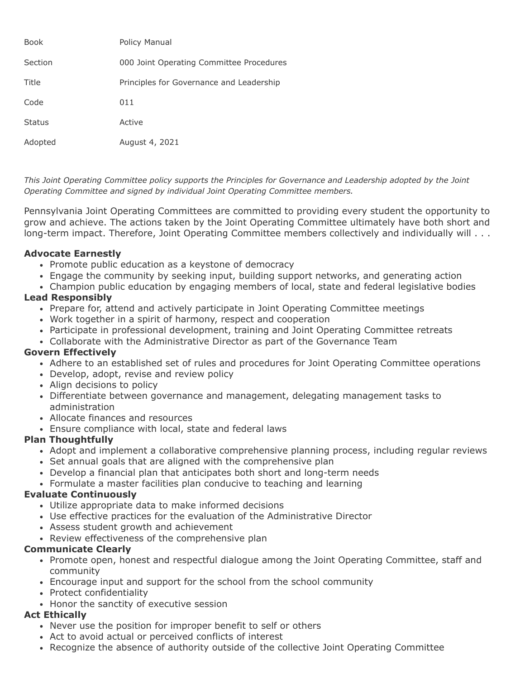| Book          | <b>Policy Manual</b>                     |
|---------------|------------------------------------------|
| Section       | 000 Joint Operating Committee Procedures |
| Title         | Principles for Governance and Leadership |
| Code          | 011                                      |
| <b>Status</b> | Active                                   |
| Adopted       | August 4, 2021                           |

*This Joint Operating Committee policy supports the Principles for Governance and Leadership adopted by the Joint Operating Committee and signed by individual Joint Operating Committee members.*

Pennsylvania Joint Operating Committees are committed to providing every student the opportunity to grow and achieve. The actions taken by the Joint Operating Committee ultimately have both short and long-term impact. Therefore, Joint Operating Committee members collectively and individually will . . .

## **Advocate Earnestly**

- Promote public education as a keystone of democracy
- Engage the community by seeking input, building support networks, and generating action
- Champion public education by engaging members of local, state and federal legislative bodies

## **Lead Responsibly**

- Prepare for, attend and actively participate in Joint Operating Committee meetings
- Work together in a spirit of harmony, respect and cooperation
- Participate in professional development, training and Joint Operating Committee retreats
- Collaborate with the Administrative Director as part of the Governance Team

## **Govern Effectively**

- Adhere to an established set of rules and procedures for Joint Operating Committee operations
- Develop, adopt, revise and review policy
- Align decisions to policy
- Differentiate between governance and management, delegating management tasks to administration
- Allocate finances and resources
- Ensure compliance with local, state and federal laws

## **Plan Thoughtfully**

- Adopt and implement a collaborative comprehensive planning process, including regular reviews
- Set annual goals that are aligned with the comprehensive plan
- Develop a financial plan that anticipates both short and long-term needs
- Formulate a master facilities plan conducive to teaching and learning

## **Evaluate Continuously**

- Utilize appropriate data to make informed decisions
- Use effective practices for the evaluation of the Administrative Director
- Assess student growth and achievement
- Review effectiveness of the comprehensive plan

## **Communicate Clearly**

- Promote open, honest and respectful dialogue among the Joint Operating Committee, staff and community
- Encourage input and support for the school from the school community
- Protect confidentiality
- Honor the sanctity of executive session

# **Act Ethically**

- Never use the position for improper benefit to self or others
- Act to avoid actual or perceived conflicts of interest
- Recognize the absence of authority outside of the collective Joint Operating Committee